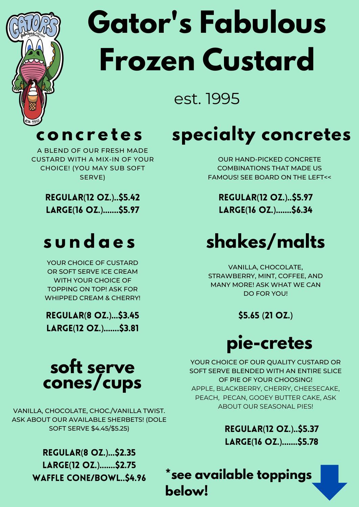

# **Gator's Fabulous Frozen Custard**

est. 1995

#### **c o n c r e t e s**

A BLEND OF OUR FRESH MADE CUSTARD WITH A MIX-IN OF YOUR CHOICE! (YOU MAY SUB SOFT SERVE)

> Regular(12 oz.)..\$5.42 Large(16 oz.).......\$5.97

## **specialty concretes**

OUR HAND-PICKED CONCRETE COMBINATIONS THAT MADE US FAMOUS! SEE BOARD ON THE LEFT<<

Regular(12 oz.)..\$5.97 Large(16 oz.).......\$6.34

#### **s u n d a e s**

YOUR CHOICE OF CUSTARD OR SOFT SERVE ICE CREAM WITH YOUR CHOICE OF TOPPING ON TOP! ASK FOR WHIPPED CREAM & CHERRY!

Regular(8 oz.)...\$3.45 Large(12 oz.).......\$3.81

**shakes/malts**

VANILLA, CHOCOLATE,

STRAWBERRY, MINT, COFFEE, AND MANY MORE! ASK WHAT WE CAN DO FOR YOU!

\$5.65 (21 oz.)

#### **soft serve cones/cups**

VANILLA, CHOCOLATE, CHOC./VANILLA TWIST. ASK ABOUT OUR AVAILABLE SHERBETS! (DOLE SOFT SERVE \$4.45/\$5.25)

> Regular(8 oz.)...\$2.35 Large(12 oz.).......\$2.75 waffle cone/bowl..\$4.96



YOUR CHOICE OF OUR QUALITY CUSTARD OR SOFT SERVE BLENDED WITH AN ENTIRE SLICE OF PIE OF YOUR CHOOSING! APPLE, BLACKBERRY, CHERRY, CHEESECAKE, PEACH, PECAN, GOOEY BUTTER CAKE, ASK ABOUT OUR SEASONAL PIES!

> Regular(12 oz.)..\$5.37 Large(16 oz.).......\$5.78

**\*see available toppings below!**